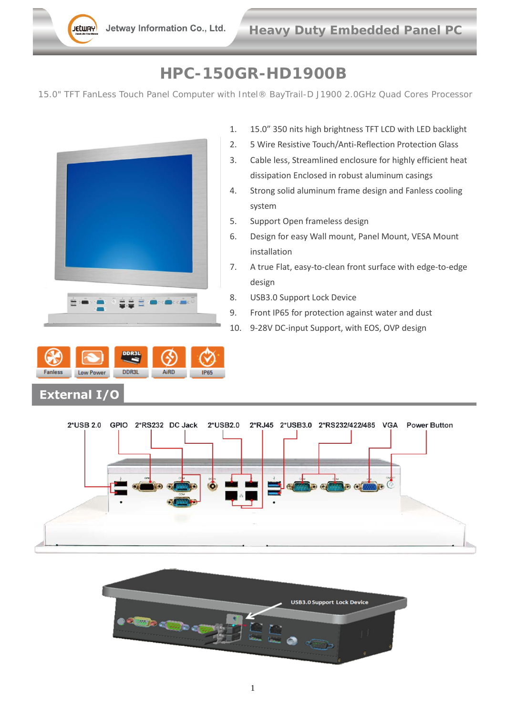## **HPC-150GR-HD1900B**

15.0" TFT FanLess Touch Panel Computer with Intel® BayTrail-D J1900 2.0GHz Quad Cores Processor



Low Power **DDR3L** AiRD **Fanless** 

**External I/O** 

- 1. 15.0" 350 nits high brightness TFT LCD with LED backlight
- 2. 5 Wire Resistive Touch/Anti-Reflection Protection Glass
- 3. Cable less, Streamlined enclosure for highly efficient heat dissipation Enclosed in robust aluminum casings
- 4. Strong solid aluminum frame design and Fanless cooling system
- 5. Support Open frameless design
- 6. Design for easy Wall mount, Panel Mount, VESA Mount installation
- 7. A true Flat, easy-to-clean front surface with edge-to-edge design
- 8. USB3.0 Support Lock Device
- 9. Front IP65 for protection against water and dust
- 10. 9-28V DC-input Support, with EOS, OVP design



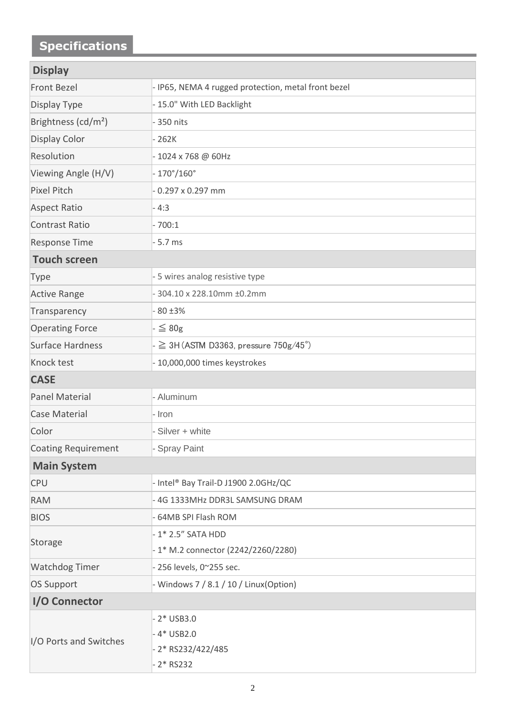## **Specifications**

| <b>Display</b>                  |                                                     |
|---------------------------------|-----------------------------------------------------|
| <b>Front Bezel</b>              | - IP65, NEMA 4 rugged protection, metal front bezel |
| Display Type                    | - 15.0" With LED Backlight                          |
| Brightness (cd/m <sup>2</sup> ) | - 350 nits                                          |
| <b>Display Color</b>            | $-262K$                                             |
| Resolution                      | -1024 x 768 @ 60Hz                                  |
| Viewing Angle (H/V)             | $-170^{\circ}/160^{\circ}$                          |
| <b>Pixel Pitch</b>              | $-0.297 \times 0.297$ mm                            |
| <b>Aspect Ratio</b>             | $-4:3$                                              |
| <b>Contrast Ratio</b>           | $-700:1$                                            |
| <b>Response Time</b>            | $-5.7$ ms                                           |
| <b>Touch screen</b>             |                                                     |
| <b>Type</b>                     | - 5 wires analog resistive type                     |
| <b>Active Range</b>             | 304.10 x 228.10mm ±0.2mm                            |
| Transparency                    | $-80 \pm 3\%$                                       |
| <b>Operating Force</b>          | $\mathsf{I} \leq 80 \mathsf{g}$                     |
| Surface Hardness                | $- \geq 3$ H (ASTM D3363, pressure 750g/45°)        |
| Knock test                      | - 10,000,000 times keystrokes                       |
| <b>CASE</b>                     |                                                     |
| Panel Material                  | - Aluminum                                          |
| <b>Case Material</b>            | - Iron                                              |
| Color                           | Silver + white                                      |
| Coating Requirement             | - Spray Paint                                       |
| <b>Main System</b>              |                                                     |
| <b>CPU</b>                      | - Intel® Bay Trail-D J1900 2.0GHz/QC                |
| <b>RAM</b>                      | - 4G 1333MHz DDR3L SAMSUNG DRAM                     |
| <b>BIOS</b>                     | - 64MB SPI Flash ROM                                |
| Storage                         | - 1* 2.5" SATA HDD                                  |
|                                 | - 1* M.2 connector (2242/2260/2280)                 |
| <b>Watchdog Timer</b>           | - 256 levels, 0~255 sec.                            |
| <b>OS Support</b>               | - Windows 7 / 8.1 / 10 / Linux(Option)              |
| I/O Connector                   |                                                     |
|                                 | $-2*$ USB3.0                                        |
| I/O Ports and Switches          | $-4*$ USB2.0                                        |
|                                 | 2* RS232/422/485                                    |
|                                 | $2*$ RS232                                          |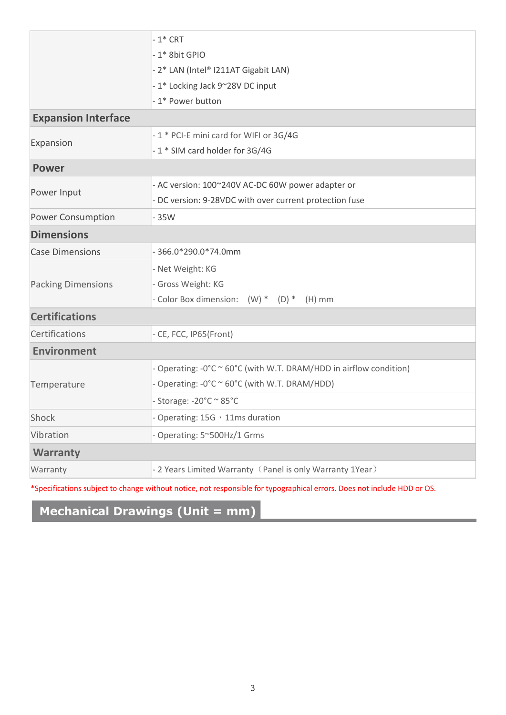|                            | $-1$ * CRT                                                                                   |
|----------------------------|----------------------------------------------------------------------------------------------|
|                            | - 1* 8bit GPIO                                                                               |
|                            | - 2* LAN (Intel® I211AT Gigabit LAN)                                                         |
|                            | -1* Locking Jack 9~28V DC input                                                              |
|                            | - 1* Power button                                                                            |
| <b>Expansion Interface</b> |                                                                                              |
| Expansion                  | - 1 * PCI-E mini card for WIFI or 3G/4G                                                      |
|                            | -1 * SIM card holder for 3G/4G                                                               |
| <b>Power</b>               |                                                                                              |
| Power Input                | - AC version: 100~240V AC-DC 60W power adapter or                                            |
|                            | - DC version: 9-28VDC with over current protection fuse                                      |
| <b>Power Consumption</b>   | $-35W$                                                                                       |
| <b>Dimensions</b>          |                                                                                              |
| <b>Case Dimensions</b>     | $-366.0*290.0*74.0mm$                                                                        |
|                            | - Net Weight: KG                                                                             |
| <b>Packing Dimensions</b>  | - Gross Weight: KG                                                                           |
|                            | - Color Box dimension: (W) * (D) * (H) mm                                                    |
| <b>Certifications</b>      |                                                                                              |
| Certifications             | - CE, FCC, IP65(Front)                                                                       |
| <b>Environment</b>         |                                                                                              |
|                            | - Operating: $-0^{\circ}$ C $\sim$ 60 $^{\circ}$ C (with W.T. DRAM/HDD in airflow condition) |
| Temperature                | - Operating: -0°C ~ 60°C (with W.T. DRAM/HDD)                                                |
|                            | - Storage: -20°C ~ 85°C                                                                      |
| Shock                      | - Operating: 15G, 11ms duration                                                              |
| Vibration                  | - Operating: 5~500Hz/1 Grms                                                                  |
| <b>Warranty</b>            |                                                                                              |
| Warranty                   | - 2 Years Limited Warranty (Panel is only Warranty 1Year)                                    |
|                            |                                                                                              |

\*Specifications subject to change without notice, not responsible for typographical errors. Does not include HDD or OS.

## **Mechanical Drawings (Unit = mm)**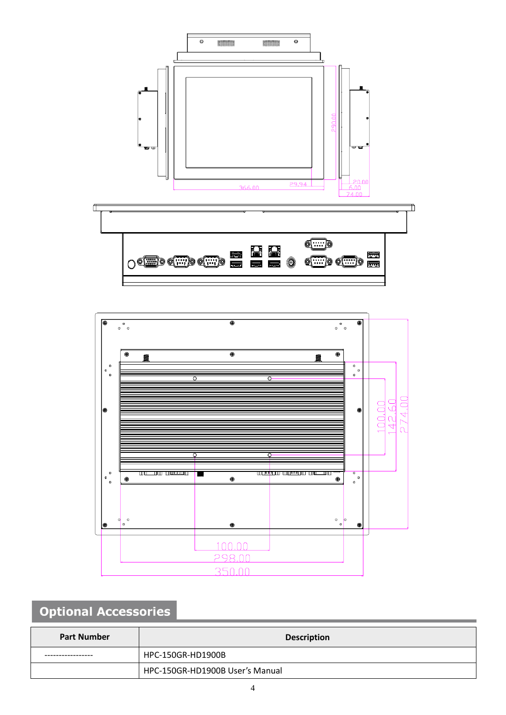



## **Optional Accessories**

| <b>Part Number</b> | <b>Description</b>              |
|--------------------|---------------------------------|
|                    | HPC-150GR-HD1900B               |
|                    | HPC-150GR-HD1900B User's Manual |